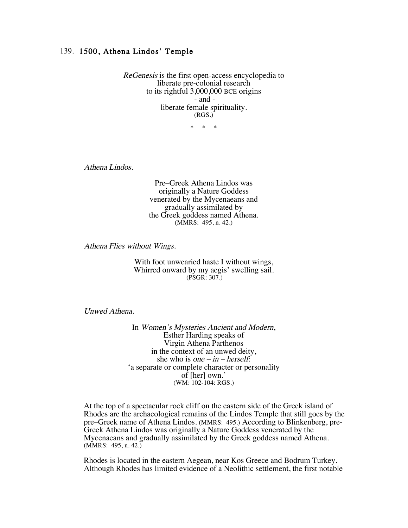## 139. 1500, Athena Lindos' Temple

ReGenesis is the first open-access encyclopedia to liberate pre-colonial research to its rightful 3,000,000 BCE origins - and liberate female spirituality. (RGS.)

\* \* \*

Athena Lindos.

Pre–Greek Athena Lindos was originally a Nature Goddess venerated by the Mycenaeans and gradually assimilated by the Greek goddess named Athena. (MMRS: 495, n. 42.)

Athena Flies without Wings.

With foot unwearied haste I without wings, Whirred onward by my aegis' swelling sail. (PSGR: 307.)

Unwed Athena.

In Women's Mysteries Ancient and Modern, Esther Harding speaks of Virgin Athena Parthenos in the context of an unwed deity, she who is one –  $in$  – herself: 'a separate or complete character or personality of [her] own.' (WM: 102-104: RGS.)

 At the top of a spectacular rock cliff on the eastern side of the Greek island of Rhodes are the archaeological remains of the Lindos Temple that still goes by the pre–Greek name of Athena Lindos. (MMRS: 495.) According to Blinkenberg, pre-Greek Athena Lindos was originally a Nature Goddess venerated by the Mycenaeans and gradually assimilated by the Greek goddess named Athena.  $(MMRS: 495, n. 42.)$ 

Rhodes is located in the eastern Aegean, near Kos Greece and Bodrum Turkey. Although Rhodes has limited evidence of a Neolithic settlement, the first notable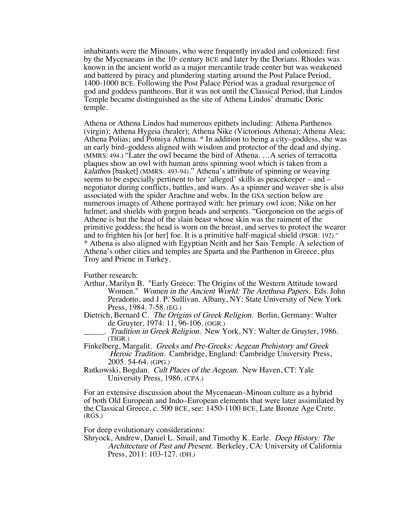inhabitants were the Minoans, who were frequently invaded and colonized: first by the Mycenaeans in the  $10<sup>n</sup>$  century BCE and later by the Dorians. Rhodes was known in the ancient world as a major mercantile trade center but was weakened and battered by piracy and plundering starting around the Post Palace Period, 1400-1000 BCE. Following the Post Palace Period was a gradual resurgence of god and goddess pantheons. But it was not until the Classical Period, that Lindos Temple became distinguished as the site of Athena Lindos' dramatic Doric temple.

Athena or Athena Lindos had numerous epithets including: Athena Parthenos (virgin); Athena Hygeia (healer); Athena Nike (Victorious Athena); Athena Alea; Athena Polias; and Potniya Athena. \* In addition to being a city–goddess, she was an early bird–goddess aligned with wisdom and protector of the dead and dying. (MMRS: 494.) "Later the owl became the bird of Athena. …A series of terracotta plaques show an owl with human arms spinning wool which is taken from a kalathos [basket] (MMRS: 493-94)." Athena's attribute of spinning or weaving seems to be especially pertinent to her 'alleged' skills as peacekeeper – and – negotiator during conflicts, battles, and wars. As a spinner and weaver she is also associated with the spider Arachne and webs. In the GSA section below are numerous images of Athene portrayed with: her primary owl icon; Nike on her helmet; and shields with gorgon heads and serpents. "Gorgoneion on the aegis of Athene is but the head of the slain beast whose skin was the raiment of the primitive goddess; the head is worn on the breast, and serves to protect the wearer and to frighten his [or her] foe. It is a primitive half-magical shield (PSGR: 192)." \* Athena is also aligned with Egyptian Neith and her Sais Temple. A selection of Athena's other cities and temples are Sparta and the Parthenon in Greece, plus Troy and Priene in Turkey.

Further research:

- Arthur, Marilyn B. "Early Greece: The Origins of the Western Attitude toward Women." Women in the Ancient World: The Arethusa Papers. Eds. John Peradotto, and J. P. Sullivan. Albany, NY: State University of New York Press, 1984. 7-58. (EG.)
- Dietrich, Bernard C. The Origins of Greek Religion. Berlin, Germany: Walter de Gruyter, 1974: 11, 96-106. (OGR.)
- . Tradition in Greek Religion. New York, NY: Walter de Gruyter, 1986. (TIGR.)
- Finkelberg, Margalit. Greeks and Pre-Greeks: Aegean Prehistory and Greek Heroic Tradition. Cambridge, England: Cambridge University Press, 2005. 54-64. (GPG.)
- Rutkowski, Bogdan. Cult Places of the Aegean. New Haven, CT: Yale University Press, 1986. (CPA.)

For an extensive discussion about the Mycenaean–Minoan culture as a hybrid of both Old European and Indo–European elements that were later assimilated by the Classical Greece, c. 500 BCE, see: 1450-1100 BCE, Late Bronze Age Crete. (RGS.)

For deep evolutionary considerations:

Shryock, Andrew, Daniel L. Smail, and Timothy K. Earle. Deep History: The Architecture of Past and Present. Berkeley, CA: University of California Press, 2011: 103-127. (DH.)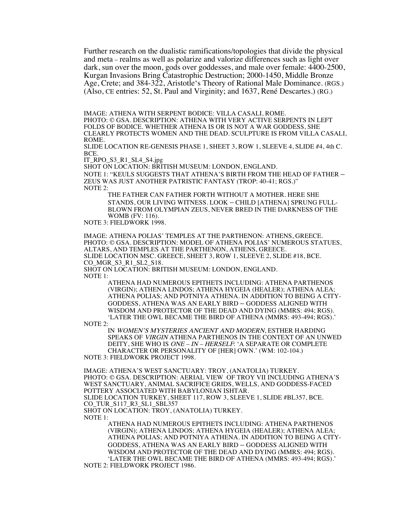Further research on the dualistic ramifications/topologies that divide the physical and meta – realms as well as polarize and valorize differences such as light over dark, sun over the moon, gods over goddesses, and male over female: 4400-2500, Kurgan Invasions Bring Catastrophic Destruction; 2000-1450, Middle Bronze Age, Crete; and 384-322, Aristotle's Theory of Rational Male Dominance. (RGS.) (Also, CE entries: 52, St. Paul and Virginity; and 1637, René Descartes.) (RG.)

IMAGE: ATHENA WITH SERPENT BODICE: VILLA CASALI, ROME.

PHOTO: © GSA. DESCRIPTION: ATHENA WITH VERY ACTIVE SERPENTS IN LEFT FOLDS OF BODICE. WHETHER ATHENA IS OR IS NOT A WAR GODDESS, SHE CLEARLY PROTECTS WOMEN AND THE DEAD. SCULPTURE IS FROM VILLA CASALI, ROME.

SLIDE LOCATION RE-GENESIS PHASE 1, SHEET 3, ROW 1, SLEEVE 4, SLIDE #4, 4th C. BCE.

IT\_RPO\_S3\_R1\_SL4\_S4.jpg

SHOT ON LOCATION: BRITISH MUSEUM: LONDON, ENGLAND.

NOTE 1: "KEULS SUGGESTS THAT ATHENA'S BIRTH FROM THE HEAD OF FATHER – ZEUS WAS JUST ANOTHER PATRISTIC FANTASY (TROP: 40-41; RGS.)" NOTE 2:

THE FATHER CAN FATHER FORTH WITHOUT A MOTHER. HERE SHE STANDS, OUR LIVING WITNESS. LOOK – CHILD [ATHENA] SPRUNG FULL-BLOWN FROM OLYMPIAN ZEUS, NEVER BRED IN THE DARKNESS OF THE WOMB (FV: 116).

NOTE 3: FIELDWORK 1998.

IMAGE: ATHENA POLIAS' TEMPLES AT THE PARTHENON: ATHENS, GREECE. PHOTO: © GSA. DESCRIPTION: MODEL OF ATHENA POLIAS' NUMEROUS STATUES, ALTARS, AND TEMPLES AT THE PARTHENON, ATHENS, GREECE. SLIDE LOCATION MSC. GREECE, SHEET 3, ROW 1, SLEEVE 2, SLIDE #18, BCE. CO MGR S3 R1 SL2 S18. SHOT ON LOCATION: BRITISH MUSEUM: LONDON, ENGLAND.

NOTE 1:

ATHENA HAD NUMEROUS EPITHETS INCLUDING: ATHENA PARTHENOS (VIRGIN); ATHENA LINDOS; ATHENA HYGEIA (HEALER); ATHENA ALEA; ATHENA POLIAS; AND POTNIYA ATHENA. IN ADDITION TO BEING A CITY-GODDESS, ATHENA WAS AN EARLY BIRD – GODDESS ALIGNED WITH WISDOM AND PROTECTOR OF THE DEAD AND DYING (MMRS: 494; RGS). 'LATER THE OWL BECAME THE BIRD OF ATHENA (MMRS: 493-494; RGS).'

NOTE 2:

IN WOMEN'S MYSTERIES ANCIENT AND MODERN, ESTHER HARDING SPEAKS OF VIRGIN ATHENA PARTHENOS IN THE CONTEXT OF AN UNWED DEITY, SHE WHO IS ONE – IN – HERSELF: 'A SEPARATE OR COMPLETE CHARACTER OR PERSONALITY OF [HER] OWN.' (WM: 102-104.) NOTE 3: FIELDWORK PROJECT 1998.

IMAGE: ATHENA'S WEST SANCTUARY: TROY, (ANATOLIA) TURKEY. PHOTO: © GSA. DESCRIPTION: AERIAL VIEW OF TROY VII INCLUDING ATHENA'S WEST SANCTUARY, ANIMAL SACRIFICE GRIDS, WELLS, AND GODDESS-FACED POTTERY ASSOCIATED WITH BABYLONIAN ISHTAR. SLIDE LOCATION TURKEY, SHEET 117, ROW 3, SLEEVE 1, SLIDE #BL357, BCE.

CO\_TUR\_S117\_R3\_SL1\_SBL357

SHOT ON LOCATION: TROY, (ANATOLIA) TURKEY.

NOTE 1:

ATHENA HAD NUMEROUS EPITHETS INCLUDING: ATHENA PARTHENOS (VIRGIN); ATHENA LINDOS; ATHENA HYGEIA (HEALER); ATHENA ALEA; ATHENA POLIAS; AND POTNIYA ATHENA. IN ADDITION TO BEING A CITY-GODDESS, ATHENA WAS AN EARLY BIRD – GODDESS ALIGNED WITH WISDOM AND PROTECTOR OF THE DEAD AND DYING (MMRS: 494; RGS). 'LATER THE OWL BECAME THE BIRD OF ATHENA (MMRS: 493-494; RGS).'

NOTE 2: FIELDWORK PROJECT 1986.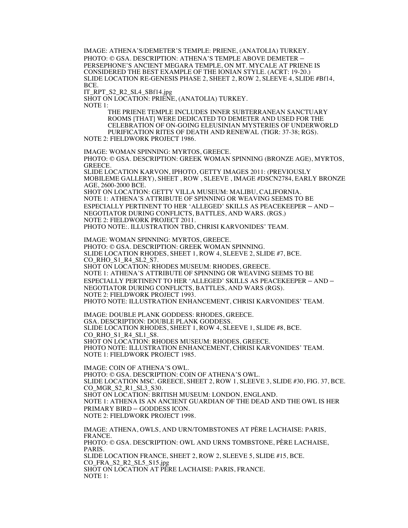IMAGE: ATHENA'S/DEMETER'S TEMPLE: PRIENE, (ANATOLIA) TURKEY. PHOTO: © GSA. DESCRIPTION: ATHENA'S TEMPLE ABOVE DEMETER – PERSEPHONE'S ANCIENT MEGARA TEMPLE, ON MT. MYCALE AT PRIENE IS CONSIDERED THE BEST EXAMPLE OF THE IONIAN STYLE. (ACRT: 19-20.) SLIDE LOCATION RE-GENESIS PHASE 2, SHEET 2, ROW 2, SLEEVE 4, SLIDE #Bf14, RCE.

IT\_RPT\_S2\_R2\_SL4\_SBf14.jpg

SHOT ON LOCATION: PRIENE, (ANATOLIA) TURKEY.

NOTE 1:

THE PRIENE TEMPLE INCLUDES INNER SUBTERRANEAN SANCTUARY ROOMS [THAT] WERE DEDICATED TO DEMETER AND USED FOR THE CELEBRATION OF ON-GOING ELEUSINIAN MYSTERIES OF UNDERWORLD PURIFICATION RITES OF DEATH AND RENEWAL (TIGR: 37-38; RGS).

NOTE 2: FIELDWORK PROJECT 1986.

IMAGE: WOMAN SPINNING: MYRTOS, GREECE. PHOTO: © GSA. DESCRIPTION: GREEK WOMAN SPINNING (BRONZE AGE), MYRTOS, GREECE. SLIDE LOCATION KARVON, IPHOTO, GETTY IMAGES 2011: (PREVIOUSLY MOBILEME GALLERY), SHEET , ROW , SLEEVE , IMAGE #DSCN2784, EARLY BRONZE AGE, 2600-2000 BCE. SHOT ON LOCATION: GETTY VILLA MUSEUM: MALIBU, CALIFORNIA. NOTE 1: ATHENA'S ATTRIBUTE OF SPINNING OR WEAVING SEEMS TO BE ESPECIALLY PERTINENT TO HER 'ALLEGED' SKILLS AS PEACEKEEPER – AND – NEGOTIATOR DURING CONFLICTS, BATTLES, AND WARS. (RGS.) NOTE 2: FIELDWORK PROJECT 2011. PHOTO NOTE:. ILLUSTRATION TBD, CHRISI KARVONIDES' TEAM. IMAGE: WOMAN SPINNING: MYRTOS, GREECE. PHOTO: © GSA. DESCRIPTION: GREEK WOMAN SPINNING. SLIDE LOCATION RHODES, SHEET 1, ROW 4, SLEEVE 2, SLIDE #7, BCE. CO\_RHO\_S1\_R4\_SL2\_S7. SHOT ON LOCATION: RHODES MUSEUM: RHODES, GREECE. NOTE 1: ATHENA'S ATTRIBUTE OF SPINNING OR WEAVING SEEMS TO BE ESPECIALLY PERTINENT TO HER 'ALLEGED' SKILLS AS PEACEKEEPER – AND – NEGOTIATOR DURING CONFLICTS, BATTLES, AND WARS (RGS). NOTE 2: FIELDWORK PROJECT 1993. PHOTO NOTE: ILLUSTRATION ENHANCEMENT, CHRISI KARVONIDES' TEAM.

IMAGE: DOUBLE PLANK GODDESS: RHODES, GREECE. GSA. DESCRIPTION: DOUBLE PLANK GODDESS. SLIDE LOCATION RHODES, SHEET 1, ROW 4, SLEEVE 1, SLIDE #8, BCE. CO\_RHO\_S1\_R4\_SL1\_S8. SHOT ON LOCATION: RHODES MUSEUM: RHODES, GREECE. PHOTO NOTE: ILLUSTRATION ENHANCEMENT, CHRISI KARVONIDES' TEAM. NOTE 1: FIELDWORK PROJECT 1985.

IMAGE: COIN OF ATHENA'S OWL. PHOTO: © GSA. DESCRIPTION: COIN OF ATHENA'S OWL. SLIDE LOCATION MSC. GREECE, SHEET 2, ROW 1, SLEEVE 3, SLIDE #30, FIG. 37, BCE. CO\_MGR\_S2\_R1\_SL3\_S30. SHOT ON LOCATION: BRITISH MUSEUM: LONDON, ENGLAND. NOTE 1: ATHENA IS AN ANCIENT GUARDIAN OF THE DEAD AND THE OWL IS HER PRIMARY BIRD – GODDESS ICON. NOTE 2: FIELDWORK PROJECT 1998.

IMAGE: ATHENA, OWLS, AND URN/TOMBSTONES AT PÈRE LACHAISE: PARIS, FRANCE. PHOTO: © GSA. DESCRIPTION: OWL AND URNS TOMBSTONE, PÈRE LACHAISE, PARIS. SLIDE LOCATION FRANCE, SHEET 2, ROW 2, SLEEVE 5, SLIDE #15, BCE. CO\_FRA\_S2\_R2\_SL5\_S15.jpg SHŌT ON LOCATION AT PÈRE LACHAISE: PARIS, FRANCE.<br>NOTE 1: